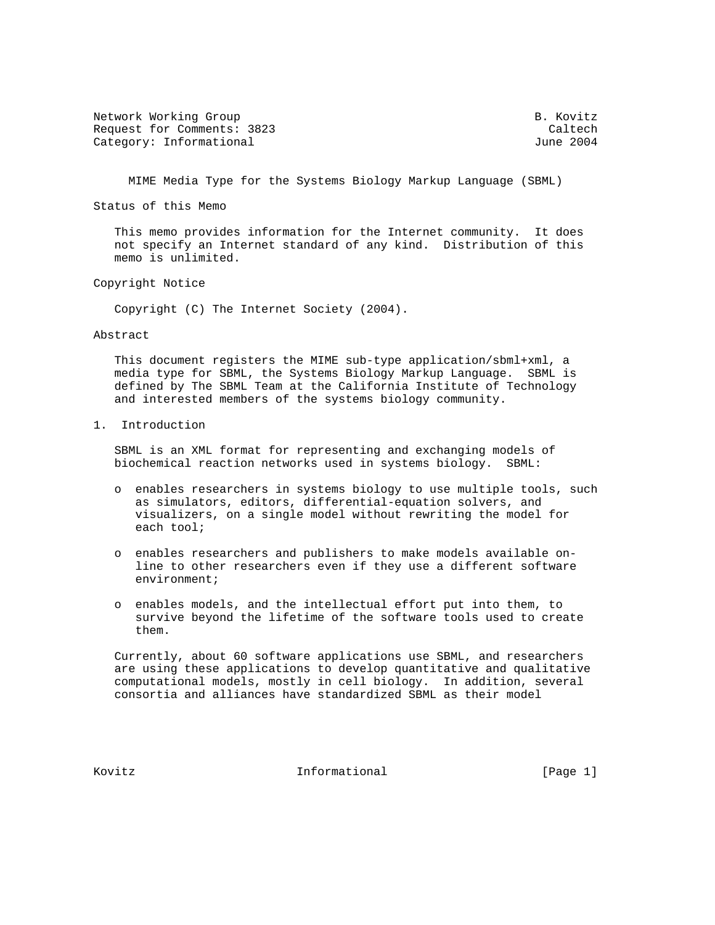Network Working Group and the set of the set of the B. Kovitz Request for Comments: 3823 Caltech<br>Category: Informational Category: Caltech Category: Informational

MIME Media Type for the Systems Biology Markup Language (SBML)

Status of this Memo

 This memo provides information for the Internet community. It does not specify an Internet standard of any kind. Distribution of this memo is unlimited.

Copyright Notice

Copyright (C) The Internet Society (2004).

Abstract

 This document registers the MIME sub-type application/sbml+xml, a media type for SBML, the Systems Biology Markup Language. SBML is defined by The SBML Team at the California Institute of Technology and interested members of the systems biology community.

1. Introduction

 SBML is an XML format for representing and exchanging models of biochemical reaction networks used in systems biology. SBML:

- o enables researchers in systems biology to use multiple tools, such as simulators, editors, differential-equation solvers, and visualizers, on a single model without rewriting the model for each tool;
- o enables researchers and publishers to make models available on line to other researchers even if they use a different software environment;
- o enables models, and the intellectual effort put into them, to survive beyond the lifetime of the software tools used to create them.

 Currently, about 60 software applications use SBML, and researchers are using these applications to develop quantitative and qualitative computational models, mostly in cell biology. In addition, several consortia and alliances have standardized SBML as their model

Kovitz **Informational Informational** [Page 1]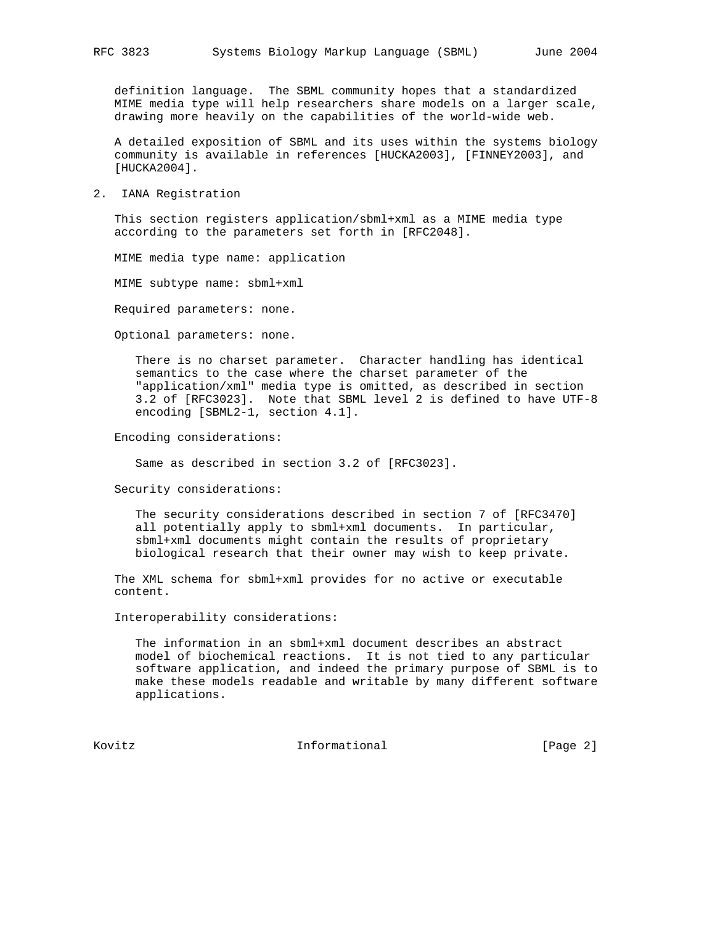definition language. The SBML community hopes that a standardized MIME media type will help researchers share models on a larger scale, drawing more heavily on the capabilities of the world-wide web.

 A detailed exposition of SBML and its uses within the systems biology community is available in references [HUCKA2003], [FINNEY2003], and [HUCKA2004].

2. IANA Registration

 This section registers application/sbml+xml as a MIME media type according to the parameters set forth in [RFC2048].

MIME media type name: application

MIME subtype name: sbml+xml

Required parameters: none.

Optional parameters: none.

 There is no charset parameter. Character handling has identical semantics to the case where the charset parameter of the "application/xml" media type is omitted, as described in section 3.2 of [RFC3023]. Note that SBML level 2 is defined to have UTF-8 encoding [SBML2-1, section 4.1].

Encoding considerations:

Same as described in section 3.2 of [RFC3023].

Security considerations:

 The security considerations described in section 7 of [RFC3470] all potentially apply to sbml+xml documents. In particular, sbml+xml documents might contain the results of proprietary biological research that their owner may wish to keep private.

 The XML schema for sbml+xml provides for no active or executable content.

Interoperability considerations:

 The information in an sbml+xml document describes an abstract model of biochemical reactions. It is not tied to any particular software application, and indeed the primary purpose of SBML is to make these models readable and writable by many different software applications.

Kovitz **Informational Informational** [Page 2]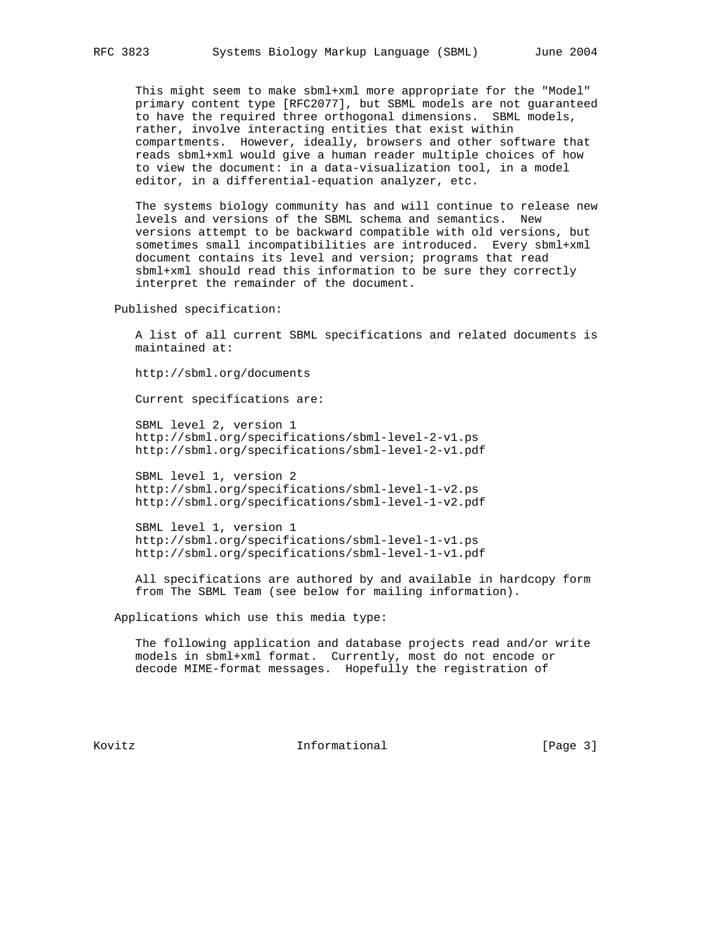This might seem to make sbml+xml more appropriate for the "Model" primary content type [RFC2077], but SBML models are not guaranteed to have the required three orthogonal dimensions. SBML models, rather, involve interacting entities that exist within compartments. However, ideally, browsers and other software that reads sbml+xml would give a human reader multiple choices of how to view the document: in a data-visualization tool, in a model editor, in a differential-equation analyzer, etc.

 The systems biology community has and will continue to release new levels and versions of the SBML schema and semantics. New versions attempt to be backward compatible with old versions, but sometimes small incompatibilities are introduced. Every sbml+xml document contains its level and version; programs that read sbml+xml should read this information to be sure they correctly interpret the remainder of the document.

Published specification:

 A list of all current SBML specifications and related documents is maintained at:

http://sbml.org/documents

Current specifications are:

 SBML level 2, version 1 http://sbml.org/specifications/sbml-level-2-v1.ps http://sbml.org/specifications/sbml-level-2-v1.pdf

 SBML level 1, version 2 http://sbml.org/specifications/sbml-level-1-v2.ps http://sbml.org/specifications/sbml-level-1-v2.pdf

 SBML level 1, version 1 http://sbml.org/specifications/sbml-level-1-v1.ps http://sbml.org/specifications/sbml-level-1-v1.pdf

 All specifications are authored by and available in hardcopy form from The SBML Team (see below for mailing information).

Applications which use this media type:

 The following application and database projects read and/or write models in sbml+xml format. Currently, most do not encode or decode MIME-format messages. Hopefully the registration of

Kovitz **Informational Informational** [Page 3]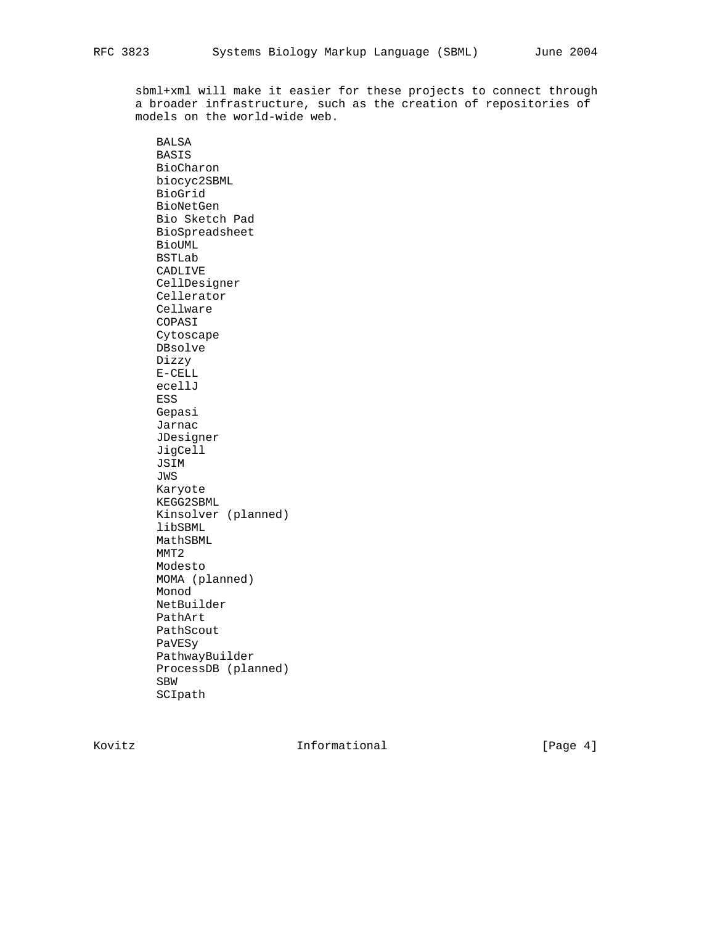sbml+xml will make it easier for these projects to connect through a broader infrastructure, such as the creation of repositories of models on the world-wide web.

 BALSA BASIS BioCharon biocyc2SBML BioGrid BioNetGen Bio Sketch Pad BioSpreadsheet BioUML BSTLab CADLIVE CellDesigner Cellerator Cellware COPASI Cytoscape DBsolve Dizzy E-CELL ecellJ ESS Gepasi Jarnac JDesigner JigCell JSIM JWS Karyote KEGG2SBML Kinsolver (planned) libSBML MathSBML MMT2 Modesto MOMA (planned) Monod NetBuilder PathArt PathScout PaVESy PathwayBuilder ProcessDB (planned) SBW SCIpath

Kovitz **Informational Informational** [Page 4]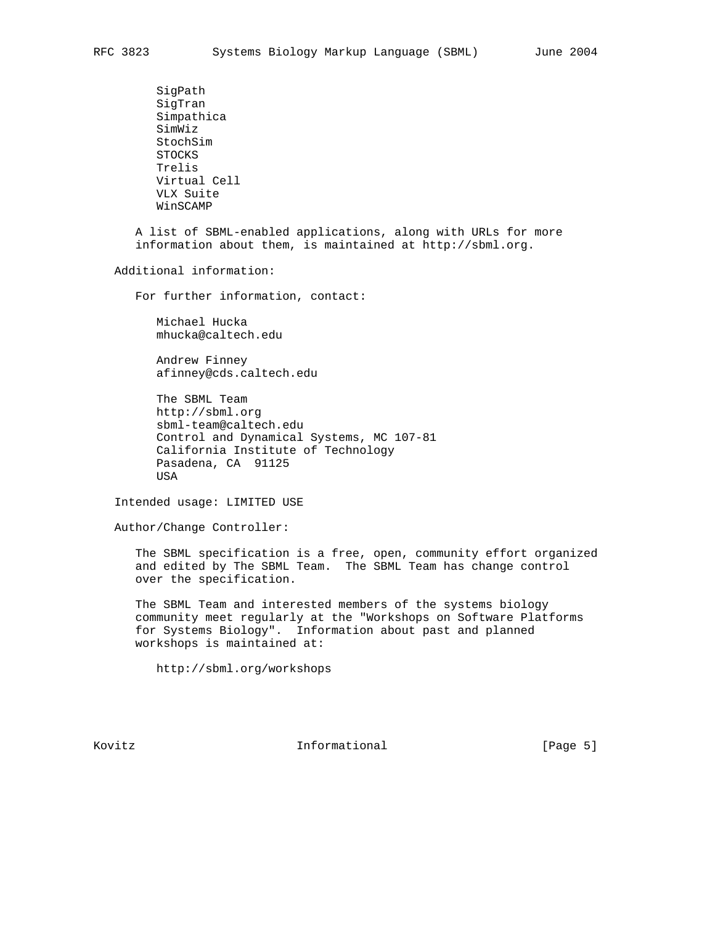SigPath SigTran Simpathica SimWiz StochSim STOCKS Trelis Virtual Cell VLX Suite WinSCAMP

 A list of SBML-enabled applications, along with URLs for more information about them, is maintained at http://sbml.org.

Additional information:

For further information, contact:

 Michael Hucka mhucka@caltech.edu

 Andrew Finney afinney@cds.caltech.edu

 The SBML Team http://sbml.org sbml-team@caltech.edu Control and Dynamical Systems, MC 107-81 California Institute of Technology Pasadena, CA 91125 USA

Intended usage: LIMITED USE

Author/Change Controller:

 The SBML specification is a free, open, community effort organized and edited by The SBML Team. The SBML Team has change control over the specification.

 The SBML Team and interested members of the systems biology community meet regularly at the "Workshops on Software Platforms for Systems Biology". Information about past and planned workshops is maintained at:

http://sbml.org/workshops

Kovitz **Informational Informational** [Page 5]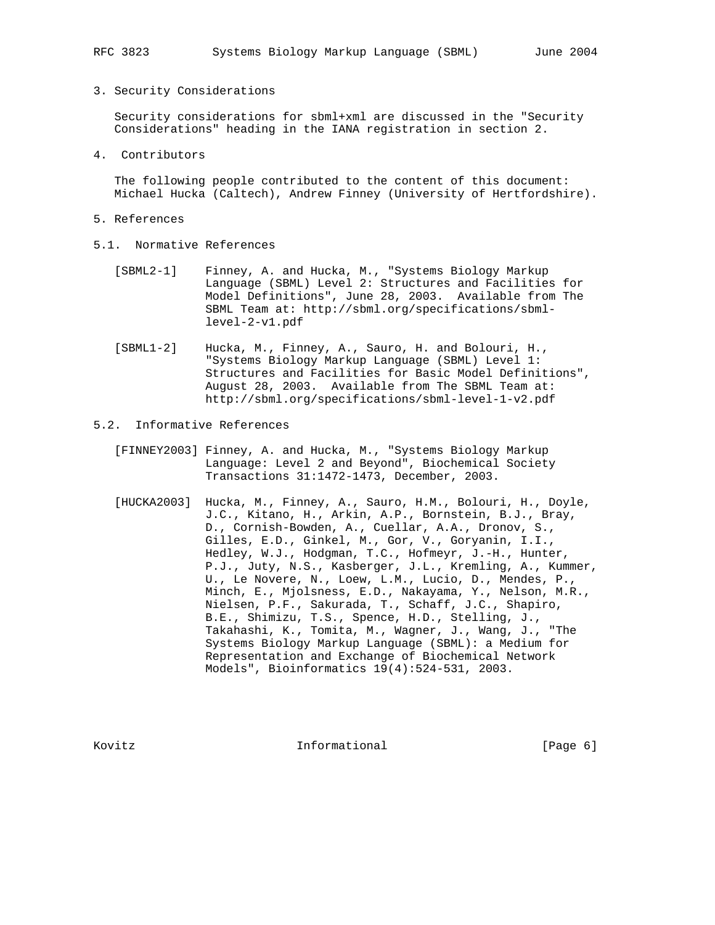## 3. Security Considerations

 Security considerations for sbml+xml are discussed in the "Security Considerations" heading in the IANA registration in section 2.

4. Contributors

 The following people contributed to the content of this document: Michael Hucka (Caltech), Andrew Finney (University of Hertfordshire).

- 5. References
- 5.1. Normative References
	- [SBML2-1] Finney, A. and Hucka, M., "Systems Biology Markup Language (SBML) Level 2: Structures and Facilities for Model Definitions", June 28, 2003. Available from The SBML Team at: http://sbml.org/specifications/sbml level-2-v1.pdf
	- [SBML1-2] Hucka, M., Finney, A., Sauro, H. and Bolouri, H., "Systems Biology Markup Language (SBML) Level 1: Structures and Facilities for Basic Model Definitions", August 28, 2003. Available from The SBML Team at: http://sbml.org/specifications/sbml-level-1-v2.pdf
- 5.2. Informative References
	- [FINNEY2003] Finney, A. and Hucka, M., "Systems Biology Markup Language: Level 2 and Beyond", Biochemical Society Transactions 31:1472-1473, December, 2003.
	- [HUCKA2003] Hucka, M., Finney, A., Sauro, H.M., Bolouri, H., Doyle, J.C., Kitano, H., Arkin, A.P., Bornstein, B.J., Bray, D., Cornish-Bowden, A., Cuellar, A.A., Dronov, S., Gilles, E.D., Ginkel, M., Gor, V., Goryanin, I.I., Hedley, W.J., Hodgman, T.C., Hofmeyr, J.-H., Hunter, P.J., Juty, N.S., Kasberger, J.L., Kremling, A., Kummer, U., Le Novere, N., Loew, L.M., Lucio, D., Mendes, P., Minch, E., Mjolsness, E.D., Nakayama, Y., Nelson, M.R., Nielsen, P.F., Sakurada, T., Schaff, J.C., Shapiro, B.E., Shimizu, T.S., Spence, H.D., Stelling, J., Takahashi, K., Tomita, M., Wagner, J., Wang, J., "The Systems Biology Markup Language (SBML): a Medium for Representation and Exchange of Biochemical Network Models", Bioinformatics 19(4):524-531, 2003.

Kovitz **Informational Informational** [Page 6]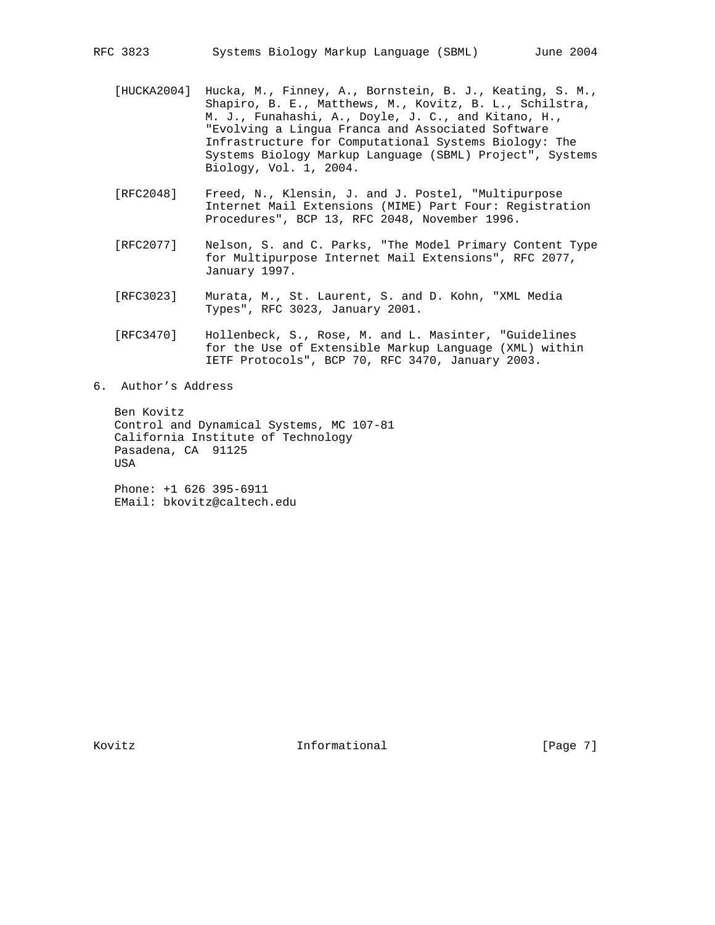- [HUCKA2004] Hucka, M., Finney, A., Bornstein, B. J., Keating, S. M., Shapiro, B. E., Matthews, M., Kovitz, B. L., Schilstra, M. J., Funahashi, A., Doyle, J. C., and Kitano, H., "Evolving a Lingua Franca and Associated Software Infrastructure for Computational Systems Biology: The Systems Biology Markup Language (SBML) Project", Systems Biology, Vol. 1, 2004.
- [RFC2048] Freed, N., Klensin, J. and J. Postel, "Multipurpose Internet Mail Extensions (MIME) Part Four: Registration Procedures", BCP 13, RFC 2048, November 1996.
- [RFC2077] Nelson, S. and C. Parks, "The Model Primary Content Type for Multipurpose Internet Mail Extensions", RFC 2077, January 1997.
- [RFC3023] Murata, M., St. Laurent, S. and D. Kohn, "XML Media Types", RFC 3023, January 2001.
- [RFC3470] Hollenbeck, S., Rose, M. and L. Masinter, "Guidelines for the Use of Extensible Markup Language (XML) within IETF Protocols", BCP 70, RFC 3470, January 2003.
- 6. Author's Address

 Ben Kovitz Control and Dynamical Systems, MC 107-81 California Institute of Technology Pasadena, CA 91125 USA

 Phone: +1 626 395-6911 EMail: bkovitz@caltech.edu

Kovitz **Informational Informational** [Page 7]